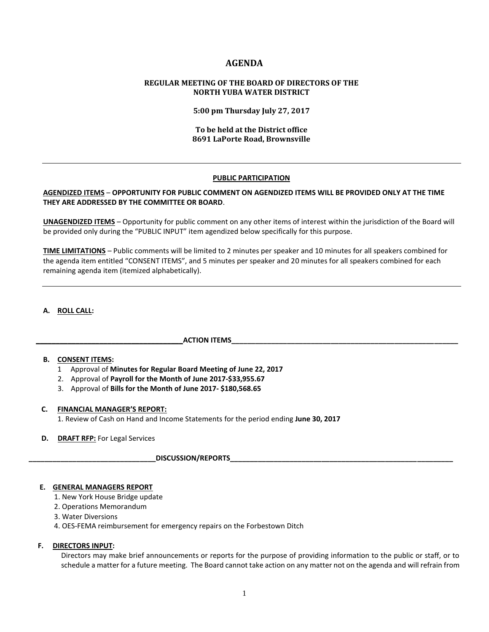# **AGENDA**

# **REGULAR MEETING OF THE BOARD OF DIRECTORS OF THE NORTH YUBA WATER DISTRICT**

**5:00 pm Thursday July 27, 2017**

## **To be held at the District office 8691 LaPorte Road, Brownsville**

### **PUBLIC PARTICIPATION**

## **AGENDIZED ITEMS** – **OPPORTUNITY FOR PUBLIC COMMENT ON AGENDIZED ITEMS WILL BE PROVIDED ONLY AT THE TIME THEY ARE ADDRESSED BY THE COMMITTEE OR BOARD**.

**UNAGENDIZED ITEMS** – Opportunity for public comment on any other items of interest within the jurisdiction of the Board will be provided only during the "PUBLIC INPUT" item agendized below specifically for this purpose.

**TIME LIMITATIONS** – Public comments will be limited to 2 minutes per speaker and 10 minutes for all speakers combined for the agenda item entitled "CONSENT ITEMS", and 5 minutes per speaker and 20 minutes for all speakers combined for each remaining agenda item (itemized alphabetically).

### **A. ROLL CALL:**

### **\_\_\_\_\_\_\_\_\_\_\_\_\_\_\_\_\_\_\_\_\_\_\_\_\_\_\_\_\_\_\_\_\_\_\_\_\_ACTION ITEMS\_\_\_\_\_\_\_\_\_\_\_\_\_\_\_\_\_\_\_\_\_\_\_\_\_\_\_\_\_\_\_\_\_\_\_\_\_\_\_\_\_\_\_\_\_\_\_\_\_\_\_\_\_\_\_\_\_**

### **B. CONSENT ITEMS:**

- 1 Approval of **Minutes for Regular Board Meeting of June 22, 2017**
- 2. Approval of **Payroll for the Month of June 2017-\$33,955.67**
- 3. Approval of **Bills for the Month of June 2017- \$180,568.65**

#### **C. FINANCIAL MANAGER'S REPORT:**

1. Review of Cash on Hand and Income Statements for the period ending **June 30, 2017**

## **D. DRAFT RFP:** For Legal Services

### **\_\_\_\_\_\_\_\_\_\_\_\_\_\_\_\_\_\_\_\_\_\_\_\_\_\_\_\_\_\_\_\_DISCUSSION/REPORTS\_\_\_\_\_\_\_\_\_\_\_\_\_\_\_\_\_\_\_\_\_\_\_\_\_\_\_\_\_\_\_\_\_\_\_\_\_\_\_\_\_\_\_\_\_\_\_\_\_\_\_\_\_\_\_\_**

## **E. GENERAL MANAGERS REPORT**

- 1. New York House Bridge update
- 2. Operations Memorandum
- 3. Water Diversions
- 4. OES-FEMA reimbursement for emergency repairs on the Forbestown Ditch

#### **F. DIRECTORS INPUT:**

Directors may make brief announcements or reports for the purpose of providing information to the public or staff, or to schedule a matter for a future meeting. The Board cannot take action on any matter not on the agenda and will refrain from